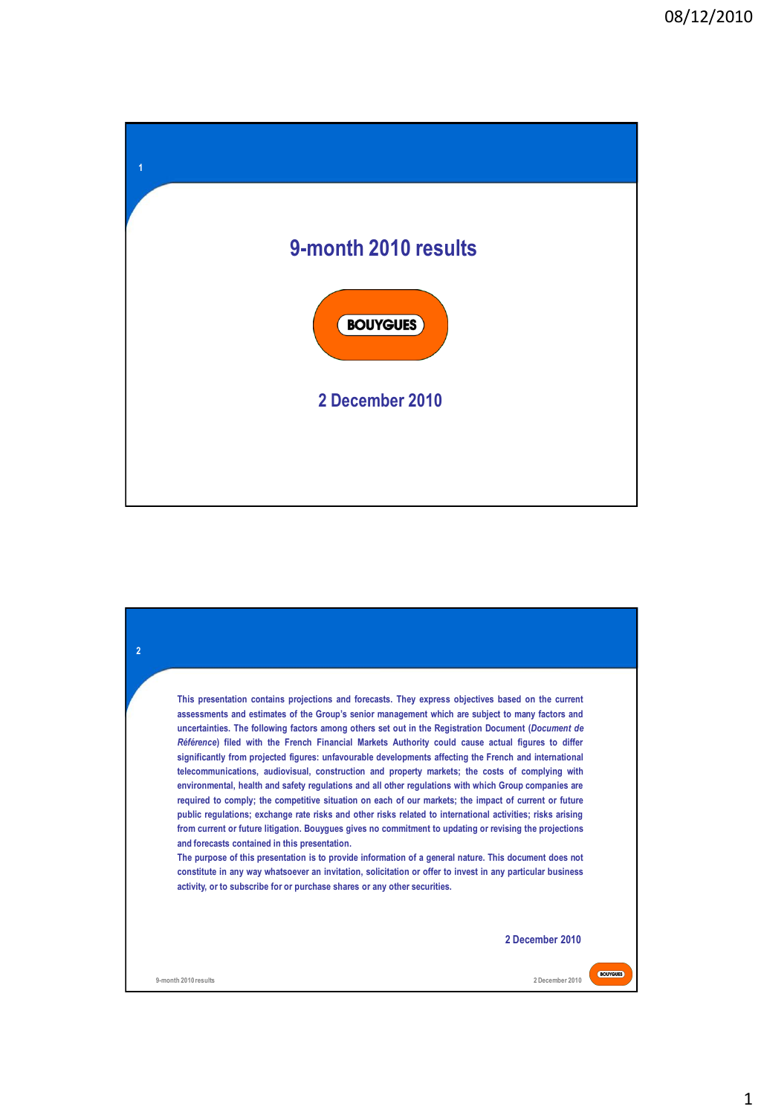

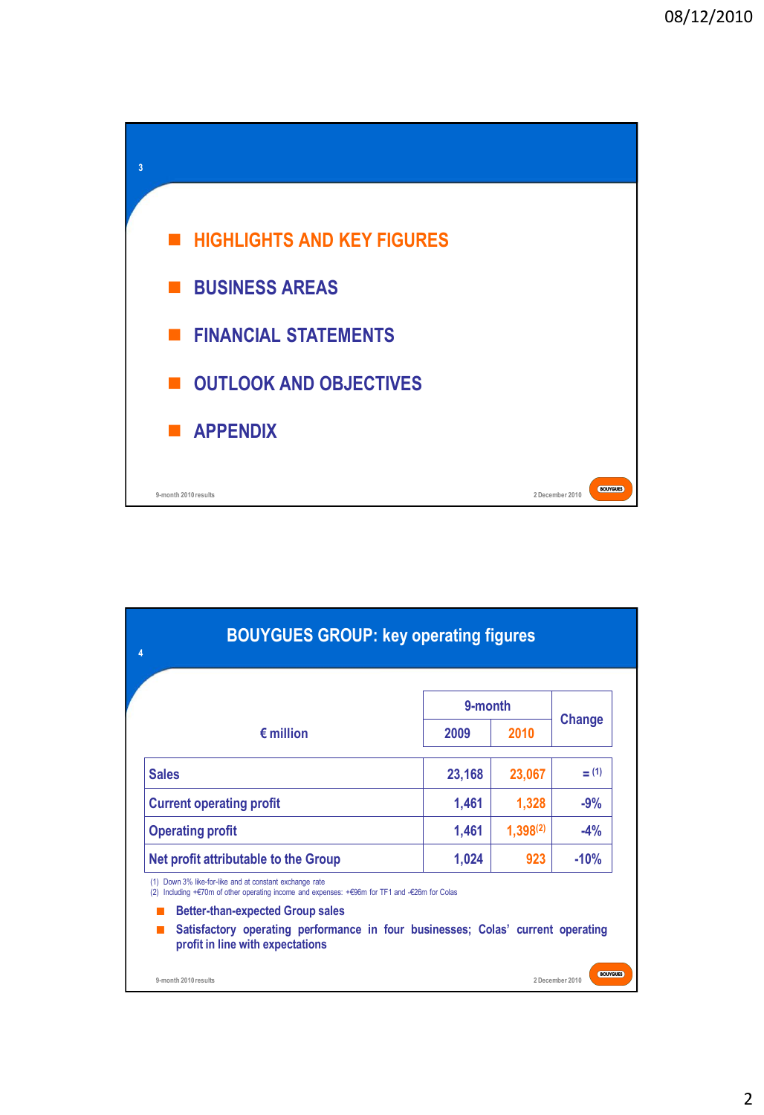

|                                      | 9-month |               |               |
|--------------------------------------|---------|---------------|---------------|
| $\epsilon$ million                   | 2009    | 2010          | <b>Change</b> |
| <b>Sales</b>                         | 23,168  | 23,067        | $=$ (1)       |
| <b>Current operating profit</b>      | 1,461   | 1,328         | $-9%$         |
| <b>Operating profit</b>              | 1,461   | $1,398^{(2)}$ | $-4%$         |
| Net profit attributable to the Group | 1,024   | 923           | $-10%$        |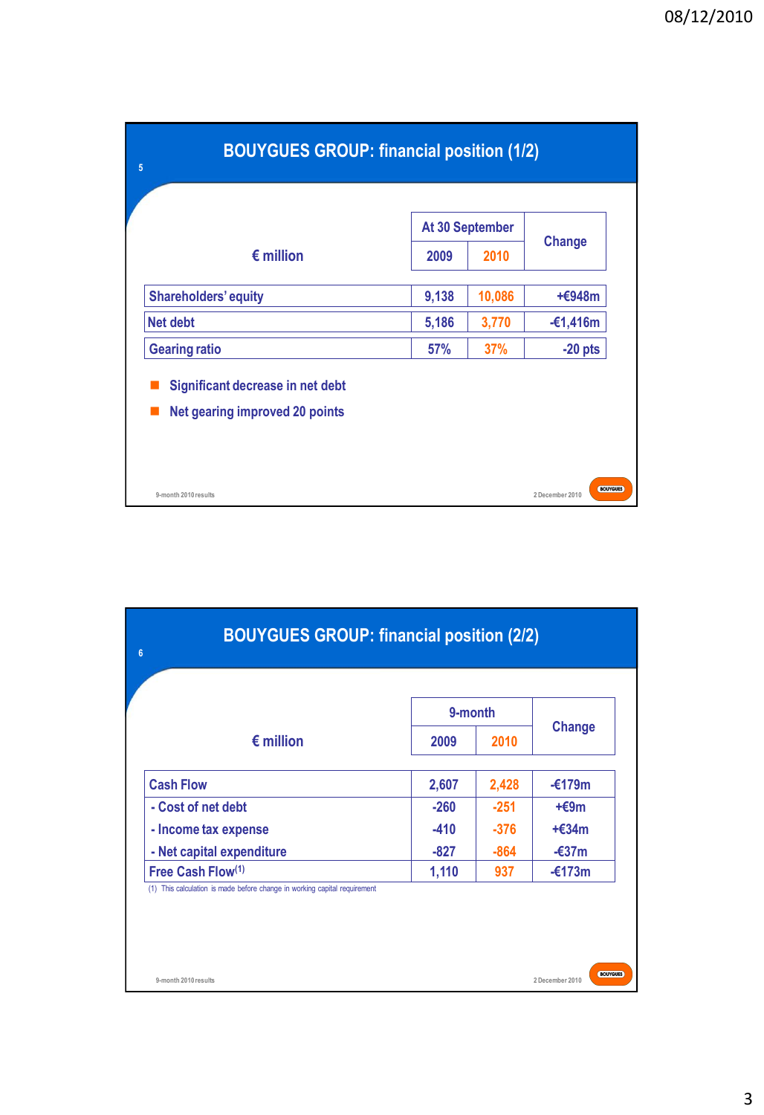| <b>BOUYGUES GROUP: financial position (1/2)</b><br>5                      |                 |            |                                    |
|---------------------------------------------------------------------------|-----------------|------------|------------------------------------|
|                                                                           | At 30 September |            |                                    |
| $\epsilon$ million                                                        | 2009            | 2010       | <b>Change</b>                      |
| <b>Shareholders' equity</b>                                               | 9,138           | 10,086     | $+6948m$                           |
| <b>Net debt</b>                                                           | 5,186           | 3,770      | $-£1,416m$                         |
| <b>Gearing ratio</b>                                                      | <b>57%</b>      | <b>37%</b> | $-20$ pts                          |
| Significant decrease in net debt<br><b>Net gearing improved 20 points</b> |                 |            |                                    |
| 9-month 2010 results                                                      |                 |            | <b>BOUYGUES</b><br>2 December 2010 |

| <b>BOUYGUES GROUP: financial position (2/2)</b> |         |        |                  |
|-------------------------------------------------|---------|--------|------------------|
|                                                 | 9-month |        |                  |
| $\epsilon$ million                              | 2009    | 2010   | <b>Change</b>    |
| <b>Cash Flow</b>                                | 2,607   | 2,428  | $-\epsilon$ 179m |
| - Cost of net debt                              | $-260$  | $-251$ | $+$ $E9m$        |
| - Income tax expense                            | $-410$  | $-376$ | $+634m$          |
| - Net capital expenditure                       | -827    | $-864$ | $-637m$          |
| Free Cash Flow <sup>(1)</sup>                   | 1,110   | 937    | $-£173m$         |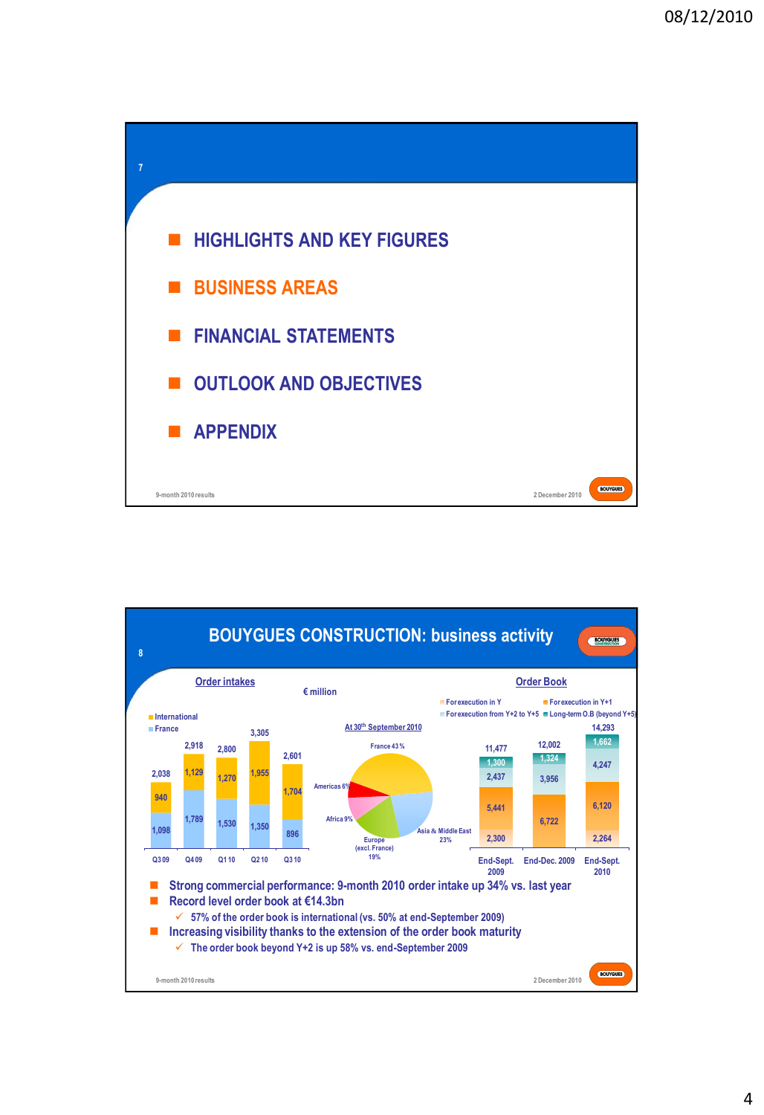

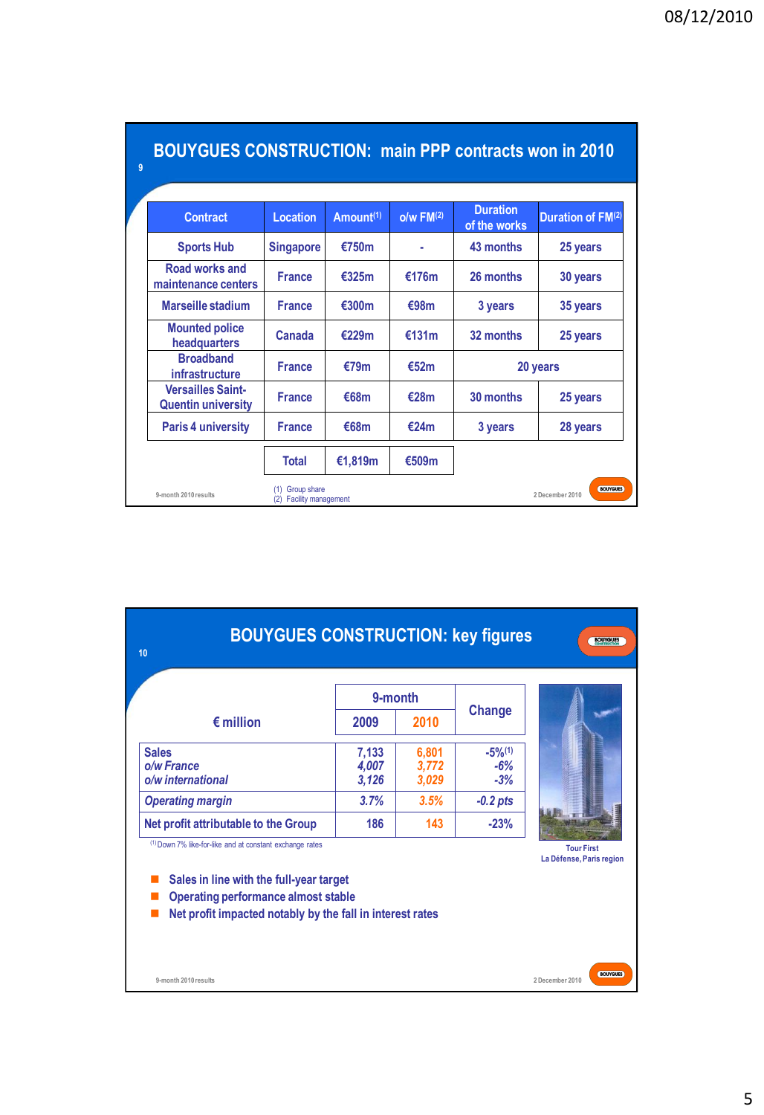| <b>BOUYGUES CONSTRUCTION: main PPP contracts won in 2010</b> |                                           |                       |                |                                 |                                    |
|--------------------------------------------------------------|-------------------------------------------|-----------------------|----------------|---------------------------------|------------------------------------|
| <b>Contract</b>                                              | Location                                  | Amount <sup>(1)</sup> | $o/w$ FM $(2)$ | <b>Duration</b><br>of the works | <b>Duration of FM(2)</b>           |
| <b>Sports Hub</b>                                            | <b>Singapore</b>                          | €750m                 |                | 43 months                       | 25 years                           |
| Road works and<br>maintenance centers                        | <b>France</b>                             | €325m                 | €176m          | 26 months                       | 30 years                           |
| Marseille stadium                                            | <b>France</b>                             | €300m                 | €98m           | 3 years                         | 35 years                           |
| <b>Mounted police</b><br>headquarters                        | Canada                                    | €229m                 | €131m          | 32 months                       | 25 years                           |
| <b>Broadband</b><br><b>infrastructure</b>                    | <b>France</b>                             | €79m                  | €52m           |                                 | 20 years                           |
| <b>Versailles Saint-</b><br><b>Quentin university</b>        | <b>France</b>                             | €68m                  | €28m           | 30 months                       | 25 years                           |
| <b>Paris 4 university</b>                                    | <b>France</b>                             | €68m                  | €24m           | 3 years                         | 28 years                           |
|                                                              | <b>Total</b>                              | €1,819m               | €509m          |                                 |                                    |
| 9-month 2010 results                                         | Group share<br><b>Facility management</b> |                       |                |                                 | <b>BOUYGUES</b><br>2 December 2010 |

| <b>BOUYGUES CONSTRUCTION: key figures</b><br>10                                                                                                                                                                |                         |                         |                                         | <b>BOUYGUES</b>                               |
|----------------------------------------------------------------------------------------------------------------------------------------------------------------------------------------------------------------|-------------------------|-------------------------|-----------------------------------------|-----------------------------------------------|
|                                                                                                                                                                                                                | 9-month                 |                         |                                         |                                               |
| $\epsilon$ million                                                                                                                                                                                             | 2009                    | 2010                    | Change                                  |                                               |
| <b>Sales</b><br>o/w France<br>o/w international                                                                                                                                                                | 7,133<br>4,007<br>3,126 | 6,801<br>3,772<br>3,029 | $-5\%$ <sup>(1)</sup><br>$-6%$<br>$-3%$ |                                               |
| <b>Operating margin</b>                                                                                                                                                                                        | 3.7%                    | 3.5%                    | $-0.2$ pts                              |                                               |
| Net profit attributable to the Group                                                                                                                                                                           | 186                     | 143                     | $-23%$                                  |                                               |
| (1) Down 7% like-for-like and at constant exchange rates<br>Sales in line with the full-year target<br><b>Operating performance almost stable</b><br>Net profit impacted notably by the fall in interest rates |                         |                         |                                         | <b>Tour First</b><br>La Défense, Paris region |
| 9-month 2010 results                                                                                                                                                                                           |                         |                         |                                         | <b>BOUYGUES</b><br>2 December 2010            |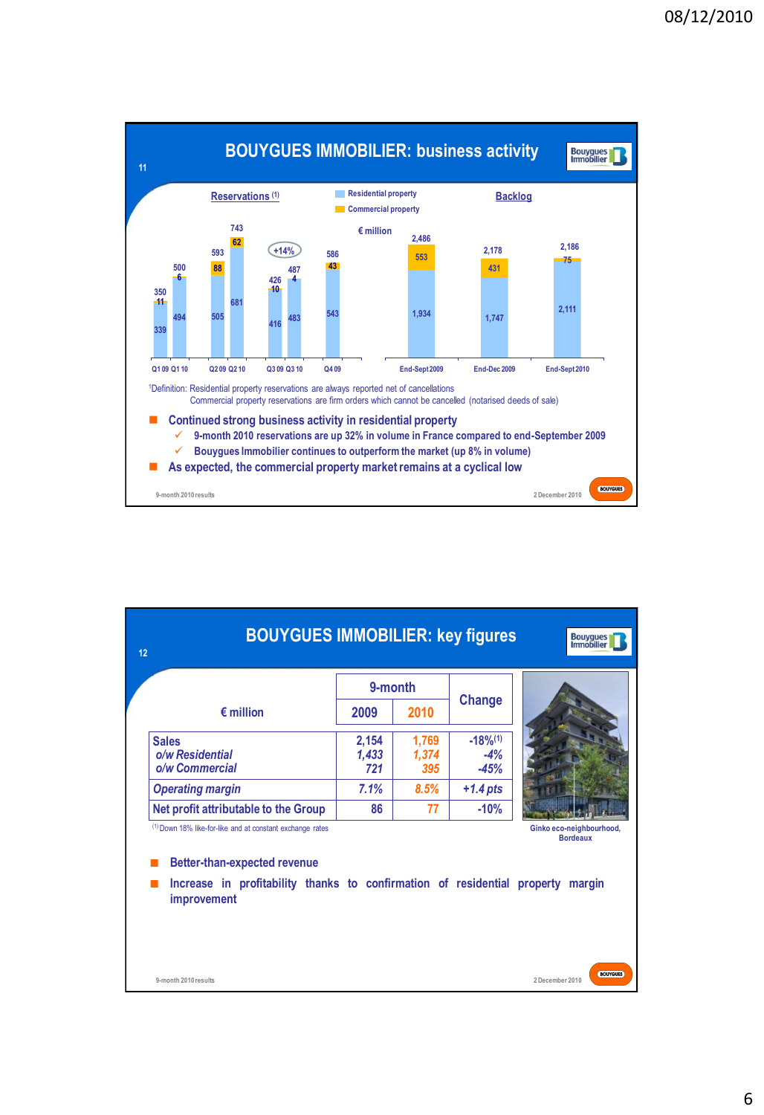

| <b>BOUYGUES IMMOBILIER: key figures</b><br>12                                                                                                                                       |                       |                       |                                          | <b>Bouygues</b><br>Immobilier               |
|-------------------------------------------------------------------------------------------------------------------------------------------------------------------------------------|-----------------------|-----------------------|------------------------------------------|---------------------------------------------|
|                                                                                                                                                                                     | 9-month               |                       |                                          |                                             |
| $\epsilon$ million                                                                                                                                                                  | 2009                  | 2010                  | <b>Change</b>                            |                                             |
| <b>Sales</b><br>o/w Residential<br>o/w Commercial                                                                                                                                   | 2,154<br>1,433<br>721 | 1,769<br>1,374<br>395 | $-18%$ <sup>(1)</sup><br>$-4%$<br>$-45%$ |                                             |
| <b>Operating margin</b>                                                                                                                                                             | 7.1%                  | 8.5%                  | $+1.4$ pts                               |                                             |
| Net profit attributable to the Group                                                                                                                                                | 86                    | 77                    | $-10%$                                   |                                             |
| (1) Down 18% like-for-like and at constant exchange rates<br><b>Better-than-expected revenue</b><br>Increase in profitability thanks to confirmation of residential property margin |                       |                       |                                          | Ginko eco-neighbourhood,<br><b>Bordeaux</b> |
| improvement<br>9-month 2010 results                                                                                                                                                 |                       |                       |                                          | <b>BOUYGUES</b><br>2 December 2010          |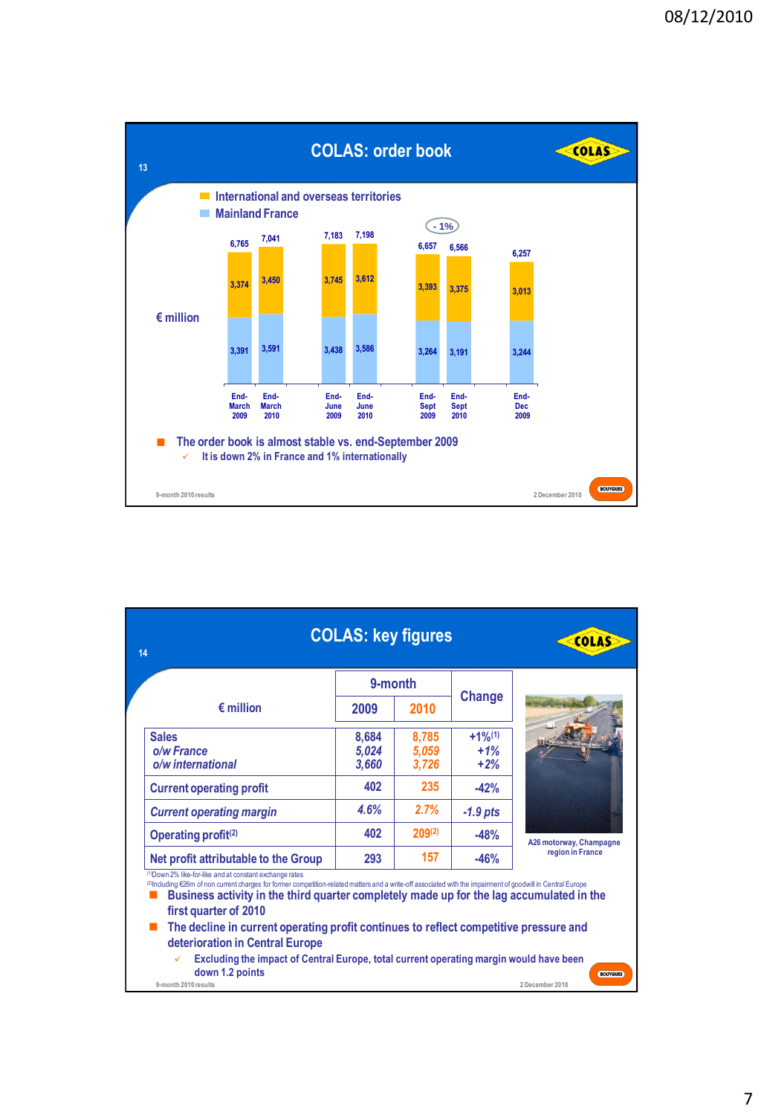

|                                                                                                                                                                                                                                                                                                                                                                                                                                                                                                                                                                     | <b>COLAS: key figures</b> |                         |                                        | COLAS                   |
|---------------------------------------------------------------------------------------------------------------------------------------------------------------------------------------------------------------------------------------------------------------------------------------------------------------------------------------------------------------------------------------------------------------------------------------------------------------------------------------------------------------------------------------------------------------------|---------------------------|-------------------------|----------------------------------------|-------------------------|
|                                                                                                                                                                                                                                                                                                                                                                                                                                                                                                                                                                     | 9-month                   |                         |                                        |                         |
| $\epsilon$ million                                                                                                                                                                                                                                                                                                                                                                                                                                                                                                                                                  | 2009                      | 2010                    | Change                                 |                         |
| <b>Sales</b><br>o/w France<br>o/w international                                                                                                                                                                                                                                                                                                                                                                                                                                                                                                                     | 8,684<br>5,024<br>3,660   | 8,785<br>5,059<br>3,726 | $+1%$ <sup>(1)</sup><br>$+1%$<br>$+2%$ |                         |
| <b>Current operating profit</b>                                                                                                                                                                                                                                                                                                                                                                                                                                                                                                                                     | 402                       | 235                     | $-42%$                                 |                         |
| <b>Current operating margin</b>                                                                                                                                                                                                                                                                                                                                                                                                                                                                                                                                     | 4.6%                      | 2.7%                    | $-1.9$ pts                             |                         |
| Operating profit <sup>(2)</sup>                                                                                                                                                                                                                                                                                                                                                                                                                                                                                                                                     | 402                       | $209^{(2)}$             | $-48%$                                 | A26 motorway, Champagne |
| Net profit attributable to the Group                                                                                                                                                                                                                                                                                                                                                                                                                                                                                                                                | 293                       | 157                     | $-46%$                                 | region in France        |
| (1) Down 2% like-for-like and at constant exchange rates<br>(2)Including €26m of non current charges for former competition-related matters and a write-off associated with the impairment of goodwill in Central Europe<br>Business activity in the third quarter completely made up for the lag accumulated in the<br>first quarter of 2010<br>The decline in current operating profit continues to reflect competitive pressure and<br>deterioration in Central Europe<br>Excluding the impact of Central Europe, total current operating margin would have been |                           |                         |                                        |                         |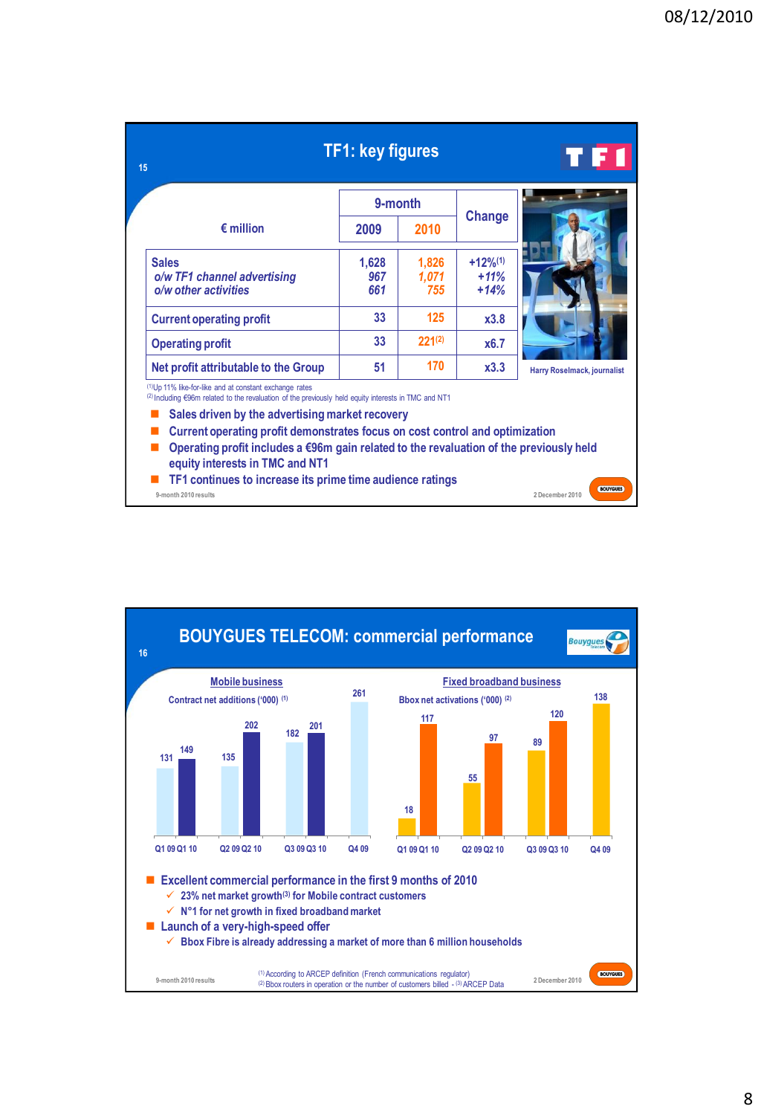|                                                                                                                                                                                                                                                                                                                                                                                                                                                                                                                    | <b>TF1: key figures</b><br>9-month |                       |                                   | TF I                        |
|--------------------------------------------------------------------------------------------------------------------------------------------------------------------------------------------------------------------------------------------------------------------------------------------------------------------------------------------------------------------------------------------------------------------------------------------------------------------------------------------------------------------|------------------------------------|-----------------------|-----------------------------------|-----------------------------|
|                                                                                                                                                                                                                                                                                                                                                                                                                                                                                                                    |                                    |                       | <b>Change</b>                     |                             |
| $\epsilon$ million                                                                                                                                                                                                                                                                                                                                                                                                                                                                                                 | 2009                               | 2010                  |                                   |                             |
| <b>Sales</b><br>o/w TF1 channel advertising<br>o/w other activities                                                                                                                                                                                                                                                                                                                                                                                                                                                | 1,628<br>967<br>661                | 1,826<br>1,071<br>755 | $+12\%^{(1)}$<br>$+11%$<br>$+14%$ |                             |
| <b>Current operating profit</b>                                                                                                                                                                                                                                                                                                                                                                                                                                                                                    | 33                                 | 125                   | x3.8                              |                             |
| <b>Operating profit</b>                                                                                                                                                                                                                                                                                                                                                                                                                                                                                            | 33                                 | $221^{(2)}$           | x6.7                              |                             |
| Net profit attributable to the Group                                                                                                                                                                                                                                                                                                                                                                                                                                                                               | 51                                 | 170                   | x3.3                              | Harry Roselmack, journalist |
| <sup>(1)</sup> Up 11% like-for-like and at constant exchange rates<br>(2) Including €96m related to the revaluation of the previously held equity interests in TMC and NT1<br>Sales driven by the advertising market recovery<br>Current operating profit demonstrates focus on cost control and optimization<br>Operating profit includes a $\epsilon$ 96m gain related to the revaluation of the previously held<br>equity interests in TMC and NT1<br>TF1 continues to increase its prime time audience ratings |                                    |                       |                                   |                             |

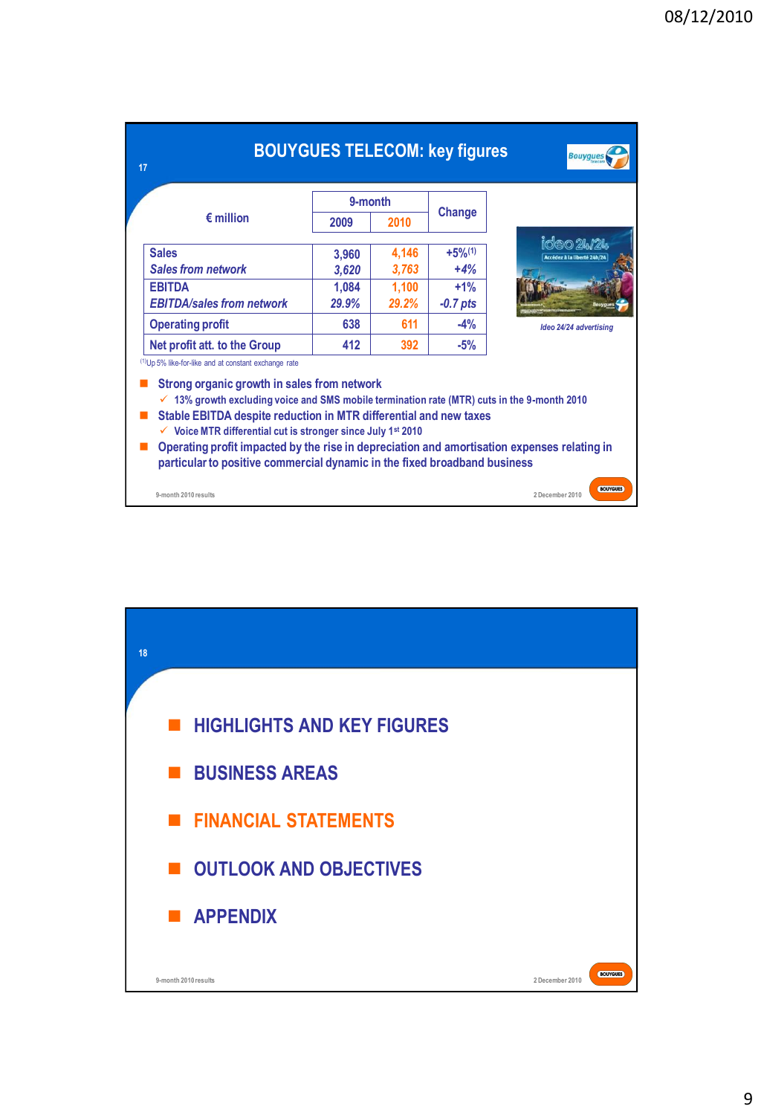| 17                                                                                                                                                                                                                                                                                                                                                                                                                                                                                                                                                                |         |       | <b>BOUYGUES TELECOM: key figures</b> | <b>Bouygues</b>                    |
|-------------------------------------------------------------------------------------------------------------------------------------------------------------------------------------------------------------------------------------------------------------------------------------------------------------------------------------------------------------------------------------------------------------------------------------------------------------------------------------------------------------------------------------------------------------------|---------|-------|--------------------------------------|------------------------------------|
|                                                                                                                                                                                                                                                                                                                                                                                                                                                                                                                                                                   | 9-month |       |                                      |                                    |
| $\epsilon$ million                                                                                                                                                                                                                                                                                                                                                                                                                                                                                                                                                | 2009    | 2010  | Change                               |                                    |
| <b>Sales</b>                                                                                                                                                                                                                                                                                                                                                                                                                                                                                                                                                      | 3.960   | 4,146 | $+5%$ <sup>(1)</sup>                 | ideo 24/24                         |
| <b>Sales from network</b>                                                                                                                                                                                                                                                                                                                                                                                                                                                                                                                                         | 3,620   | 3,763 | $+4%$                                | Accédez à la liberté 24h/2         |
| <b>EBITDA</b>                                                                                                                                                                                                                                                                                                                                                                                                                                                                                                                                                     | 1,084   | 1,100 | $+1%$                                |                                    |
| <b>EBITDA/sales from network</b>                                                                                                                                                                                                                                                                                                                                                                                                                                                                                                                                  | 29.9%   | 29.2% | $-0.7$ pts                           |                                    |
| <b>Operating profit</b>                                                                                                                                                                                                                                                                                                                                                                                                                                                                                                                                           | 638     | 611   | $-4%$                                | Ideo 24/24 advertising             |
| Net profit att. to the Group                                                                                                                                                                                                                                                                                                                                                                                                                                                                                                                                      | 412     | 392   | $-5%$                                |                                    |
| <sup>(1)</sup> Up 5% like-for-like and at constant exchange rate<br>Strong organic growth in sales from network<br>$\checkmark$ 13% growth excluding voice and SMS mobile termination rate (MTR) cuts in the 9-month 2010<br>Stable EBITDA despite reduction in MTR differential and new taxes<br>$\checkmark$ Voice MTR differential cut is stronger since July 1 <sup>st</sup> 2010<br>Operating profit impacted by the rise in depreciation and amortisation expenses relating in<br>particular to positive commercial dynamic in the fixed broadband business |         |       |                                      |                                    |
| 9-month 2010 results                                                                                                                                                                                                                                                                                                                                                                                                                                                                                                                                              |         |       |                                      | <b>BOUYGUES</b><br>2 December 2010 |

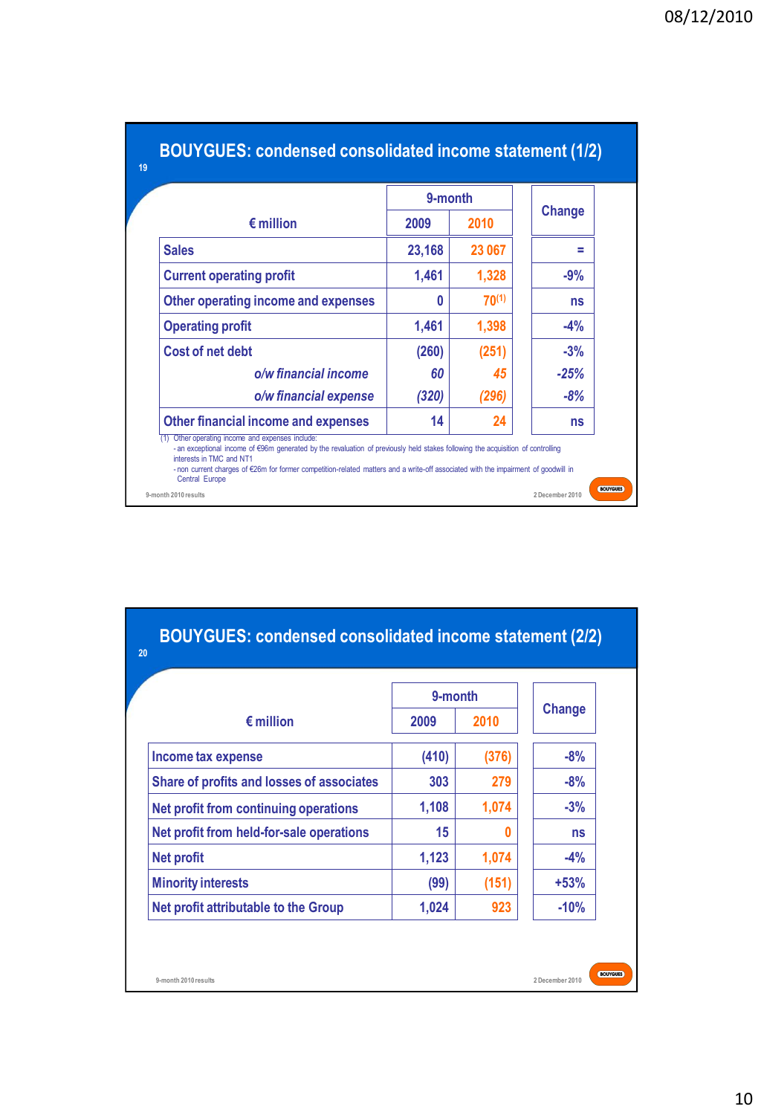|                                            | 9-month |            |        |
|--------------------------------------------|---------|------------|--------|
| $\epsilon$ million                         | 2009    | 2010       | Change |
| <b>Sales</b>                               | 23,168  | 23 067     | ۰      |
| <b>Current operating profit</b>            | 1,461   | 1,328      | $-9%$  |
| Other operating income and expenses        | O       | $70^{(1)}$ | ns     |
| <b>Operating profit</b>                    | 1,461   | 1,398      | $-4%$  |
| <b>Cost of net debt</b>                    | (260)   | (251)      | $-3%$  |
| o/w financial income                       | 60      | 45         | $-25%$ |
| o/w financial expense                      | (320)   | (296)      | $-8%$  |
| <b>Other financial income and expenses</b> | 14      | 24         | ns     |

|                                           | 9-month |       |        |
|-------------------------------------------|---------|-------|--------|
| $\epsilon$ million                        | 2009    | 2010  | Change |
| Income tax expense                        | (410)   | (376) | $-8%$  |
| Share of profits and losses of associates | 303     | 279   | $-8%$  |
| Net profit from continuing operations     | 1,108   | 1,074 | $-3%$  |
| Net profit from held-for-sale operations  | 15      |       | ns     |
| <b>Net profit</b>                         | 1,123   | 1,074 | $-4%$  |
| <b>Minority interests</b>                 | (99)    | (151) | $+53%$ |
| Net profit attributable to the Group      | 1,024   | 923   | $-10%$ |

**2 December 2010**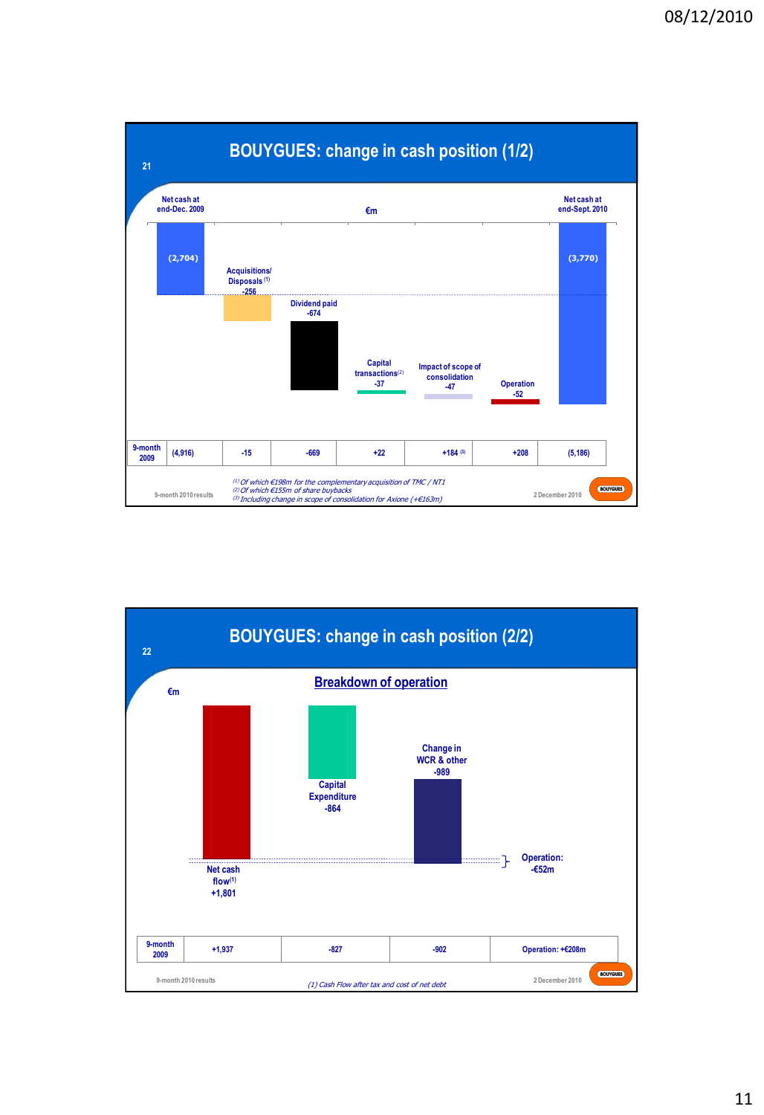

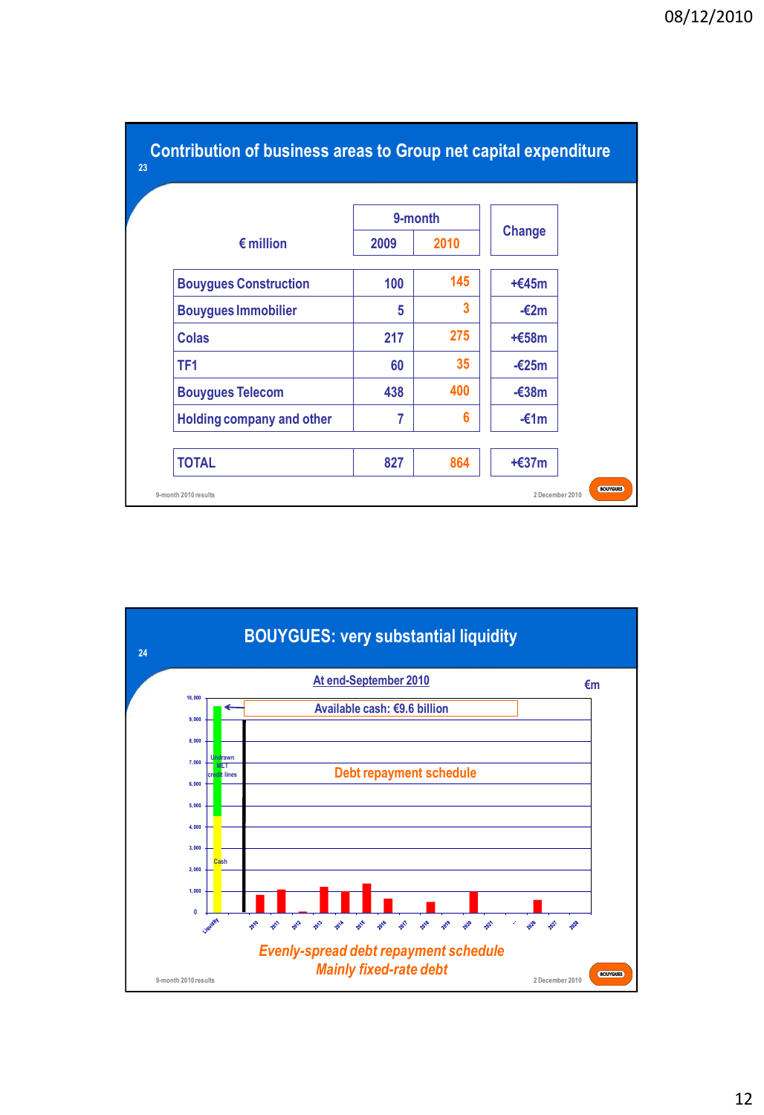|                                  | 9-month |      | <b>Change</b>   |
|----------------------------------|---------|------|-----------------|
| $\epsilon$ million               | 2009    | 2010 |                 |
| <b>Bouygues Construction</b>     | 100     | 145  | $+645m$         |
| <b>Bouygues Immobilier</b>       | 5       | 3    | $-\epsilon$ 2m  |
| <b>Colas</b>                     | 217     | 275  | $+658m$         |
| TF <sub>1</sub>                  | 60      | 35   | $-\epsilon$ 25m |
| <b>Bouygues Telecom</b>          | 438     | 400  | $-\epsilon$ 38m |
| <b>Holding company and other</b> | 7       | 6    | $-£1m$          |

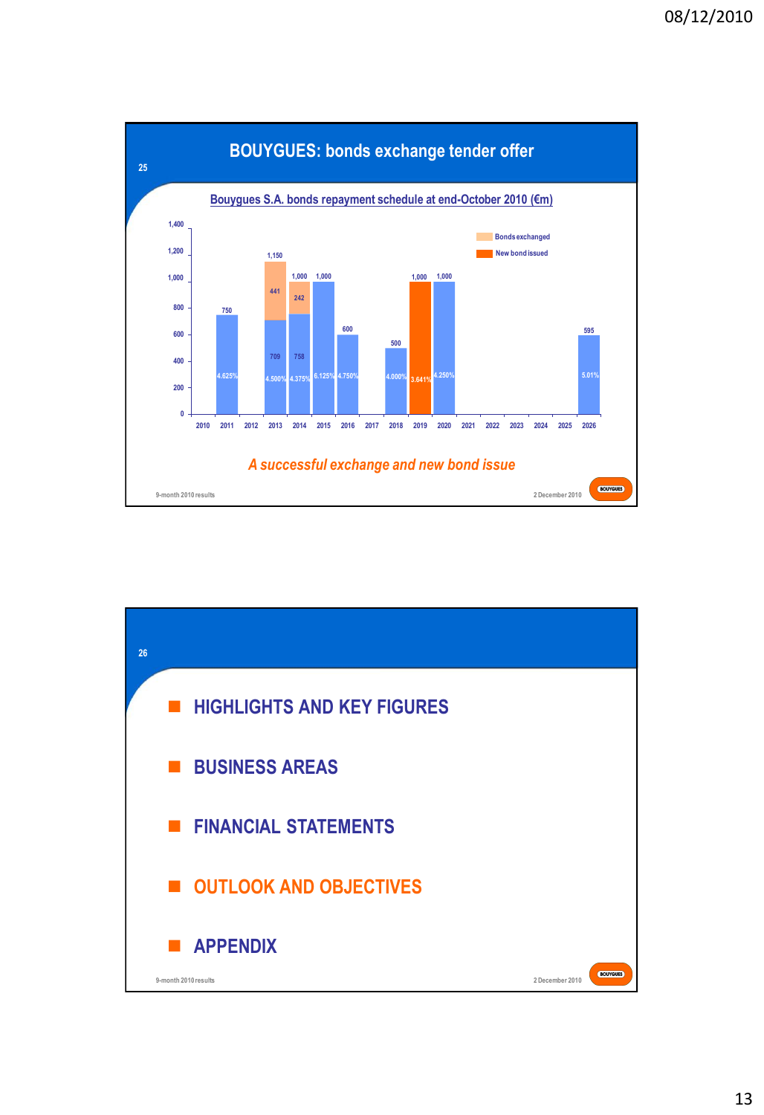

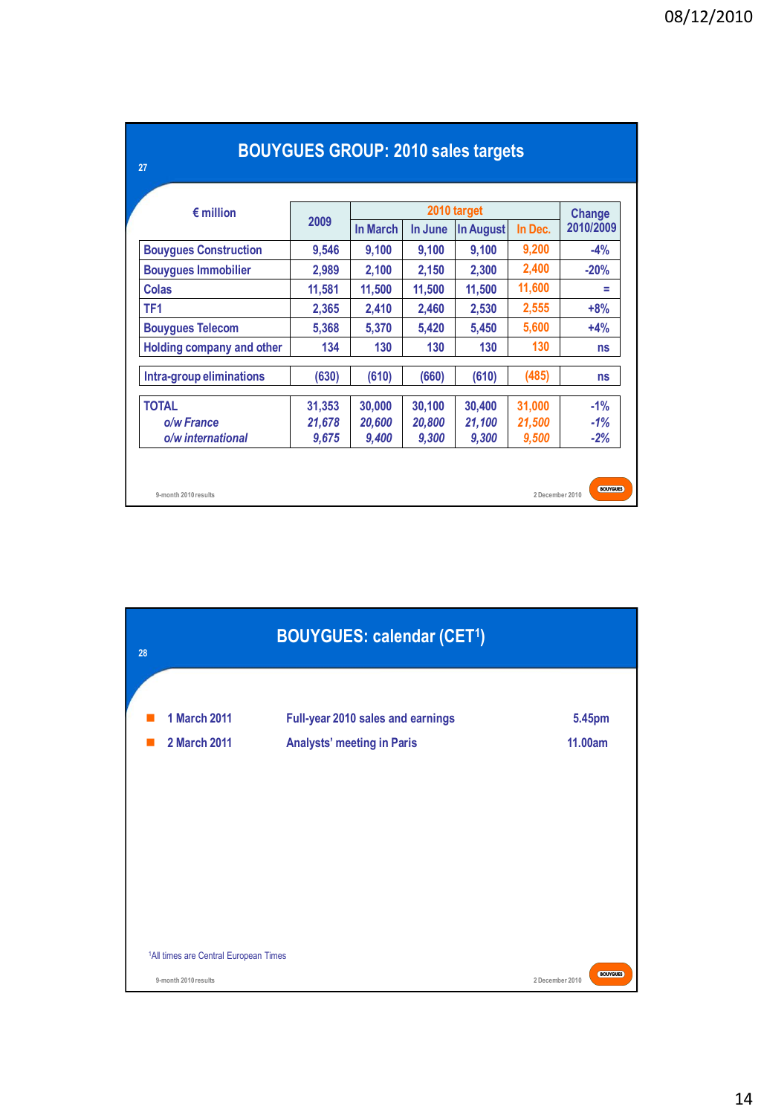| $\epsilon$ million           | 2009   |                 | Change  |           |         |           |  |
|------------------------------|--------|-----------------|---------|-----------|---------|-----------|--|
|                              |        | <b>In March</b> | In June | In August | In Dec. | 2010/2009 |  |
| <b>Bouygues Construction</b> | 9,546  | 9,100           | 9,100   | 9,100     | 9,200   | $-4%$     |  |
| <b>Bouygues Immobilier</b>   | 2,989  | 2,100           | 2,150   | 2,300     | 2,400   | $-20%$    |  |
| <b>Colas</b>                 | 11,581 | 11,500          | 11,500  | 11,500    | 11,600  | Ξ         |  |
| TF <sub>1</sub>              | 2,365  | 2,410           | 2,460   | 2,530     | 2,555   | $+8%$     |  |
| <b>Bouygues Telecom</b>      | 5,368  | 5,370           | 5,420   | 5,450     | 5,600   | $+4%$     |  |
| Holding company and other    | 134    | 130             | 130     | 130       | 130     | ns        |  |
| Intra-group eliminations     | (630)  | (610)           | (660)   | (610)     | (485)   | <b>ns</b> |  |
| <b>TOTAL</b>                 | 31,353 | 30,000          | 30,100  | 30,400    | 31,000  | $-1%$     |  |
| o/w France                   | 21,678 | 20,600          | 20,800  | 21,100    | 21,500  | $-1%$     |  |
| o/w international            | 9,675  | 9,400           | 9,300   | 9,300     | 9,500   | $-2%$     |  |

| <b>BOUYGUES GROUP: 2010 sales targets</b> |  |
|-------------------------------------------|--|
|-------------------------------------------|--|

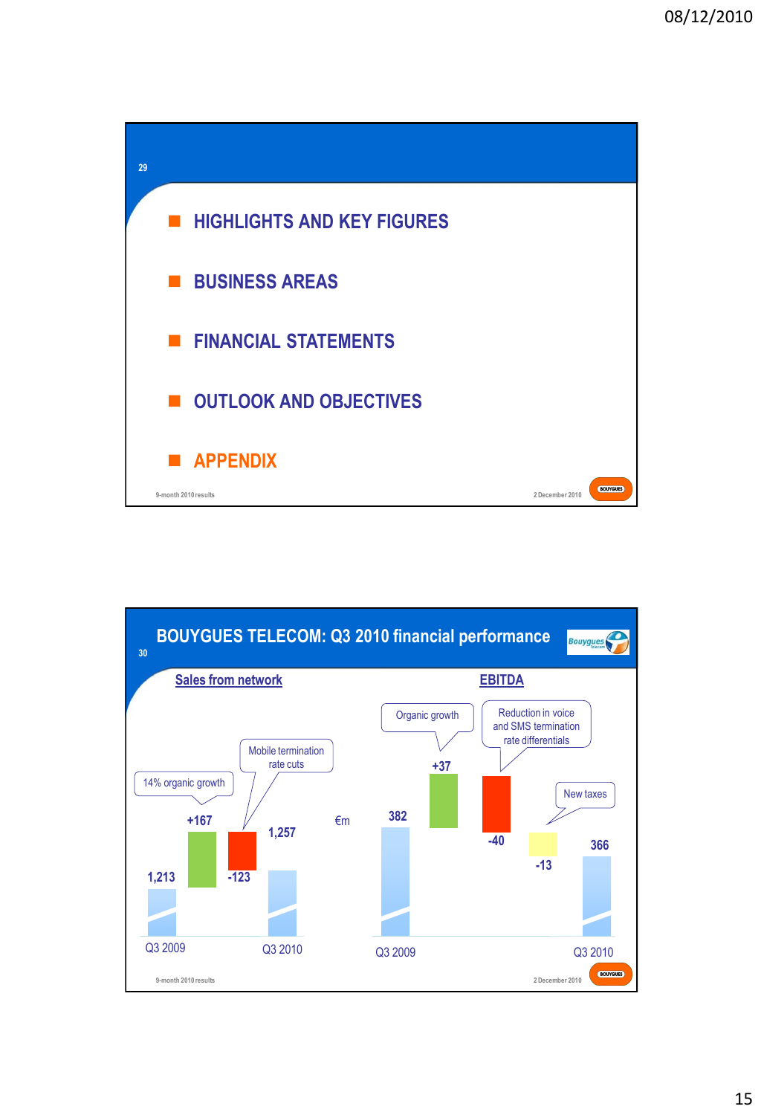